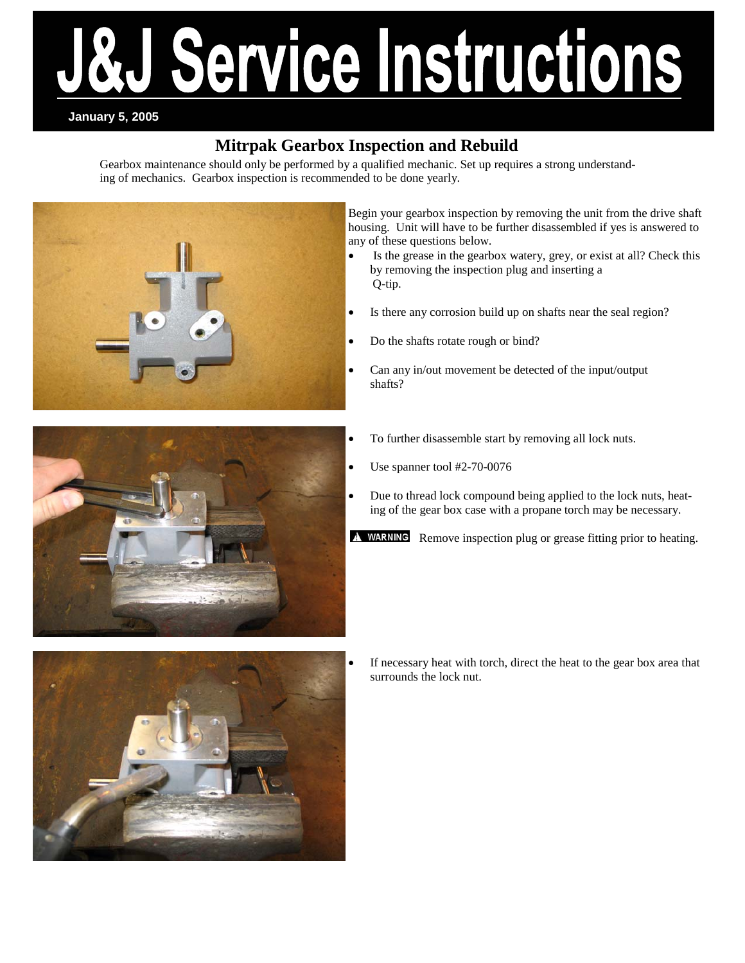# ervice Instructions

### **January 5, 2005**

# **Mitrpak Gearbox Inspection and Rebuild**

Gearbox maintenance should only be performed by a qualified mechanic. Set up requires a strong understanding of mechanics. Gearbox inspection is recommended to be done yearly.



Begin your gearbox inspection by removing the unit from the drive shaft housing. Unit will have to be further disassembled if yes is answered to any of these questions below.

- Is the grease in the gearbox watery, grey, or exist at all? Check this by removing the inspection plug and inserting a Q-tip.
- Is there any corrosion build up on shafts near the seal region?
	- Do the shafts rotate rough or bind?
	- Can any in/out movement be detected of the input/output shafts?



- To further disassemble start by removing all lock nuts.
- Use spanner tool #2-70-0076
	- Due to thread lock compound being applied to the lock nuts, heating of the gear box case with a propane torch may be necessary.

A WARNING Remove inspection plug or grease fitting prior to heating.



If necessary heat with torch, direct the heat to the gear box area that surrounds the lock nut.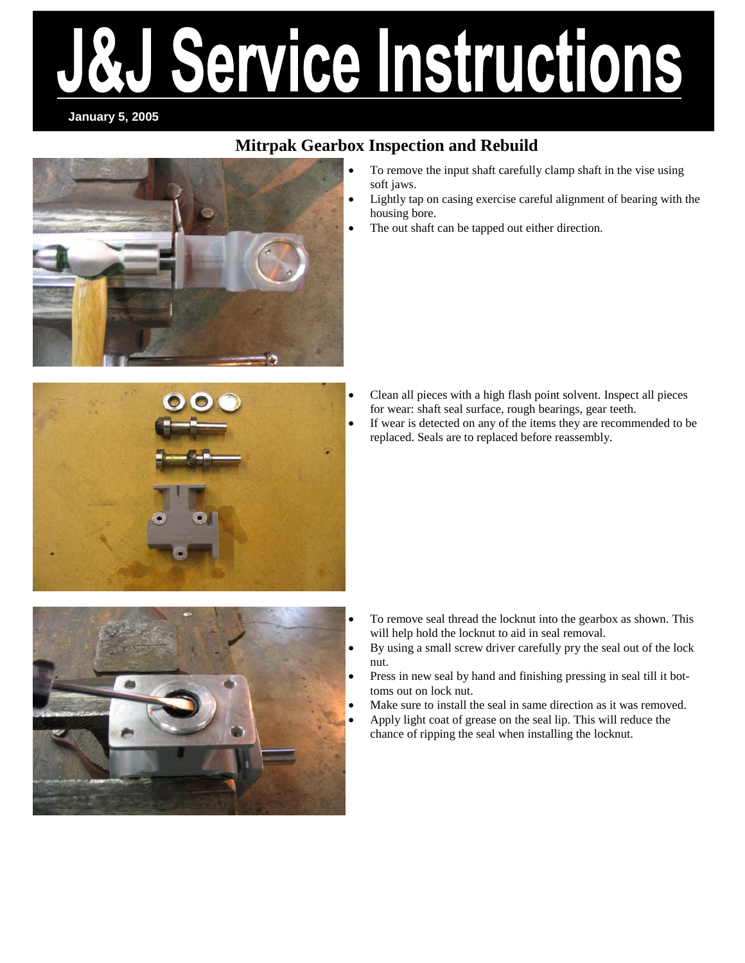# ervice Instructions

### **January 5, 2005**

# **Mitrpak Gearbox Inspection and Rebuild**

• To remove the input shaft carefully clamp shaft in the vise using soft jaws. • Lightly tap on casing exercise careful alignment of bearing with the housing bore. The out shaft can be tapped out either direction.

- 
- Clean all pieces with a high flash point solvent. Inspect all pieces for wear: shaft seal surface, rough bearings, gear teeth.
- If wear is detected on any of the items they are recommended to be replaced. Seals are to replaced before reassembly.



- To remove seal thread the locknut into the gearbox as shown. This will help hold the locknut to aid in seal removal.
- By using a small screw driver carefully pry the seal out of the lock nut.
- Press in new seal by hand and finishing pressing in seal till it bottoms out on lock nut.
- Make sure to install the seal in same direction as it was removed.
- Apply light coat of grease on the seal lip. This will reduce the chance of ripping the seal when installing the locknut.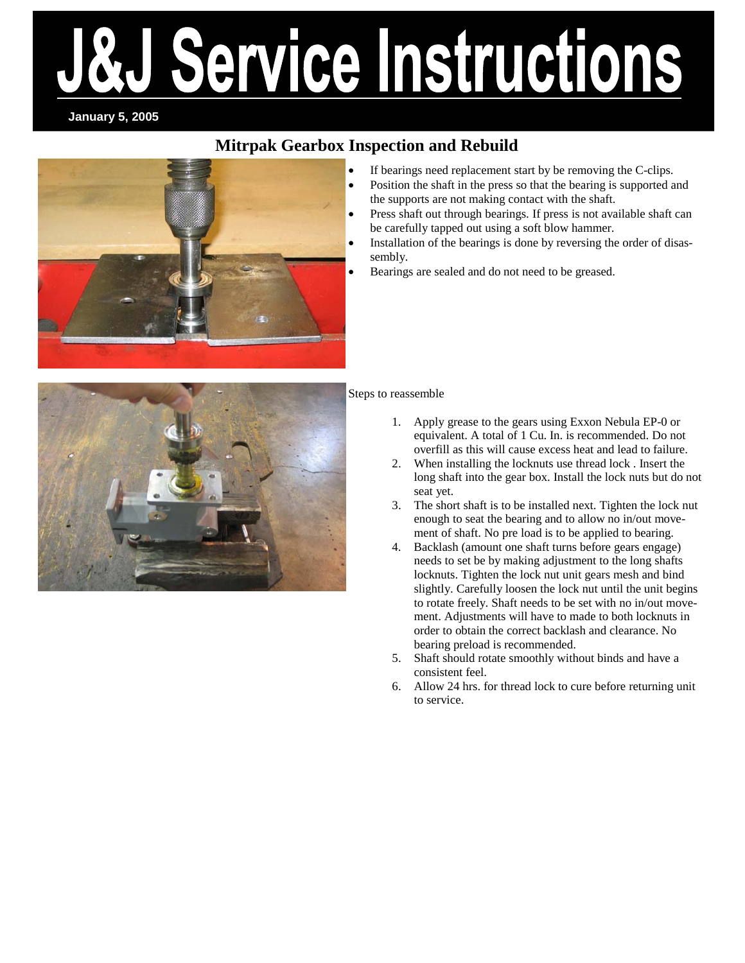# Service Instructions

**January 5, 2005** 

# **Mitrpak Gearbox Inspection and Rebuild**



- If bearings need replacement start by be removing the C-clips.
- Position the shaft in the press so that the bearing is supported and the supports are not making contact with the shaft.
- Press shaft out through bearings. If press is not available shaft can be carefully tapped out using a soft blow hammer.
- Installation of the bearings is done by reversing the order of disassembly.
- Bearings are sealed and do not need to be greased.



### Steps to reassemble

- 1. Apply grease to the gears using Exxon Nebula EP-0 or equivalent. A total of 1 Cu. In. is recommended. Do not overfill as this will cause excess heat and lead to failure.
- 2. When installing the locknuts use thread lock . Insert the long shaft into the gear box. Install the lock nuts but do not seat yet.
- 3. The short shaft is to be installed next. Tighten the lock nut enough to seat the bearing and to allow no in/out movement of shaft. No pre load is to be applied to bearing.
- 4. Backlash (amount one shaft turns before gears engage) needs to set be by making adjustment to the long shafts locknuts. Tighten the lock nut unit gears mesh and bind slightly. Carefully loosen the lock nut until the unit begins to rotate freely. Shaft needs to be set with no in/out movement. Adjustments will have to made to both locknuts in order to obtain the correct backlash and clearance. No bearing preload is recommended.
- 5. Shaft should rotate smoothly without binds and have a consistent feel.
- 6. Allow 24 hrs. for thread lock to cure before returning unit to service.